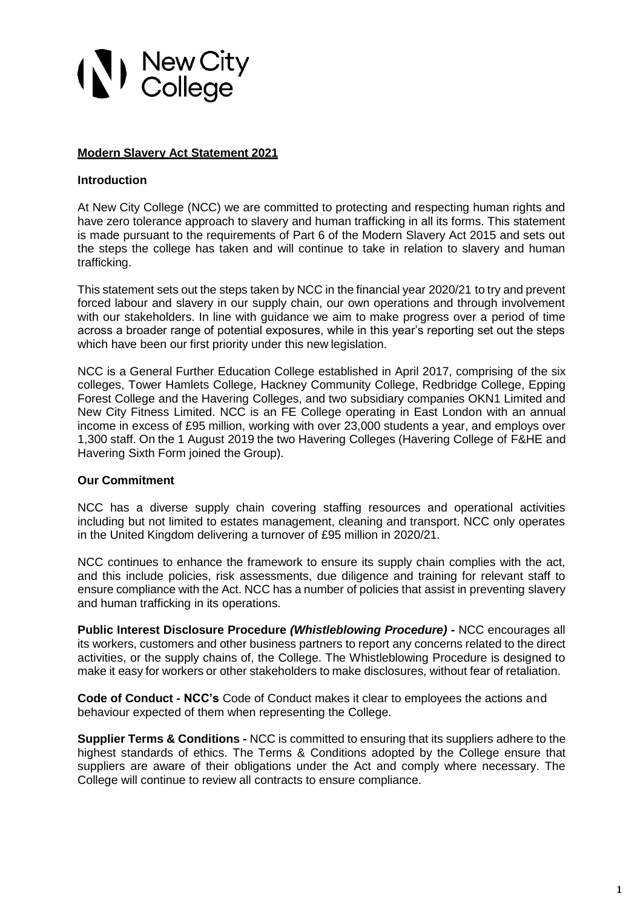# (*V*) New City<br>College

## **Modern Slavery Act Statement 2021**

## **Introduction**

At New City College (NCC) we are committed to protecting and respecting human rights and have zero tolerance approach to slavery and human trafficking in all its forms. This statement is made pursuant to the requirements of Part 6 of the Modern Slavery Act 2015 and sets out the steps the college has taken and will continue to take in relation to slavery and human trafficking.

This statement sets out the steps taken by NCC in the financial year 2020/21 to try and prevent forced labour and slavery in our supply chain, our own operations and through involvement with our stakeholders. In line with guidance we aim to make progress over a period of time across a broader range of potential exposures, while in this year's reporting set out the steps which have been our first priority under this new legislation.

NCC is a General Further Education College established in April 2017, comprising of the six colleges, Tower Hamlets College, Hackney Community College, Redbridge College, Epping Forest College and the Havering Colleges, and two subsidiary companies OKN1 Limited and New City Fitness Limited. NCC is an FE College operating in East London with an annual income in excess of £95 million, working with over 23,000 students a year, and employs over 1,300 staff. On the 1 August 2019 the two Havering Colleges (Havering College of F&HE and Havering Sixth Form joined the Group).

#### **Our Commitment**

NCC has a diverse supply chain covering staffing resources and operational activities including but not limited to estates management, cleaning and transport. NCC only operates in the United Kingdom delivering a turnover of £95 million in 2020/21.

NCC continues to enhance the framework to ensure its supply chain complies with the act, and this include policies, risk assessments, due diligence and training for relevant staff to ensure compliance with the Act. NCC has a number of policies that assist in preventing slavery and human trafficking in its operations.

**Public Interest Disclosure Procedure** *(Whistleblowing Procedure) -* NCC encourages all its workers, customers and other business partners to report any concerns related to the direct activities, or the supply chains of, the College. The Whistleblowing Procedure is designed to make it easy for workers or other stakeholders to make disclosures, without fear of retaliation.

**Code of Conduct - NCC's** Code of Conduct makes it clear to employees the actions and behaviour expected of them when representing the College.

**Supplier Terms & Conditions -** NCC is committed to ensuring that its suppliers adhere to the highest standards of ethics. The Terms & Conditions adopted by the College ensure that suppliers are aware of their obligations under the Act and comply where necessary. The College will continue to review all contracts to ensure compliance.